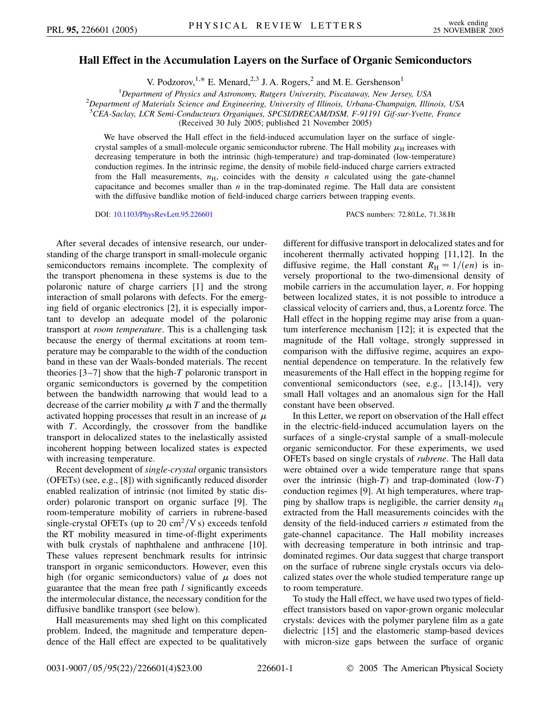## **Hall Effect in the Accumulation Layers on the Surface of Organic Semiconductors**

V. Podzorov,<sup>1,\*</sup> E. Menard,<sup>2,3</sup> J. A. Rogers,<sup>2</sup> and M. E. Gershenson<sup>1</sup>

<sup>1</sup> Department of Physics and Astronomy, Rutgers University, Piscataway, New Jersey, USA<sup>2</sup> Department of Materials Science and Engineering University of Illinois, Urbang Channaign, Illii

*Department of Materials Science and Engineering, University of Illinois, Urbana-Champaign, Illinois, USA*

3 *CEA-Saclay, LCR Semi-Conducteurs Organiques, SPCSI/DRECAM/DSM, F-91191 Gif-sur-Yvette, France*

(Received 30 July 2005; published 21 November 2005)

We have observed the Hall effect in the field-induced accumulation layer on the surface of singlecrystal samples of a small-molecule organic semiconductor rubrene. The Hall mobility  $\mu_H$  increases with decreasing temperature in both the intrinsic (high-temperature) and trap-dominated (low-temperature) conduction regimes. In the intrinsic regime, the density of mobile field-induced charge carriers extracted from the Hall measurements,  $n<sub>H</sub>$ , coincides with the density *n* calculated using the gate-channel capacitance and becomes smaller than  $n$  in the trap-dominated regime. The Hall data are consistent with the diffusive bandlike motion of field-induced charge carriers between trapping events.

DOI: [10.1103/PhysRevLett.95.226601](http://dx.doi.org/10.1103/PhysRevLett.95.226601) PACS numbers: 72.80.Le, 71.38.Ht

After several decades of intensive research, our understanding of the charge transport in small-molecule organic semiconductors remains incomplete. The complexity of the transport phenomena in these systems is due to the polaronic nature of charge carriers [1] and the strong interaction of small polarons with defects. For the emerging field of organic electronics [2], it is especially important to develop an adequate model of the polaronic transport at *room temperature*. This is a challenging task because the energy of thermal excitations at room temperature may be comparable to the width of the conduction band in these van der Waals-bonded materials. The recent theories [3–7] show that the high-*T* polaronic transport in organic semiconductors is governed by the competition between the bandwidth narrowing that would lead to a decrease of the carrier mobility  $\mu$  with  $T$  and the thermally activated hopping processes that result in an increase of  $\mu$ with *T*. Accordingly, the crossover from the bandlike transport in delocalized states to the inelastically assisted incoherent hopping between localized states is expected with increasing temperature.

Recent development of *single-crystal* organic transistors (OFETs) (see, e.g., [8]) with significantly reduced disorder enabled realization of intrinsic (not limited by static disorder) polaronic transport on organic surface [9]. The room-temperature mobility of carriers in rubrene-based single-crystal OFETs (up to 20  $\text{cm}^2/\text{V s}$ ) exceeds tenfold the RT mobility measured in time-of-flight experiments with bulk crystals of naphthalene and anthracene [10]. These values represent benchmark results for intrinsic transport in organic semiconductors. However, even this high (for organic semiconductors) value of  $\mu$  does not guarantee that the mean free path *l* significantly exceeds the intermolecular distance, the necessary condition for the diffusive bandlike transport (see below).

Hall measurements may shed light on this complicated problem. Indeed, the magnitude and temperature dependence of the Hall effect are expected to be qualitatively different for diffusive transport in delocalized states and for incoherent thermally activated hopping [11,12]. In the diffusive regime, the Hall constant  $R_H = 1/(en)$  is inversely proportional to the two-dimensional density of mobile carriers in the accumulation layer, *n*. For hopping between localized states, it is not possible to introduce a classical velocity of carriers and, thus, a Lorentz force. The Hall effect in the hopping regime may arise from a quantum interference mechanism [12]; it is expected that the magnitude of the Hall voltage, strongly suppressed in comparison with the diffusive regime, acquires an exponential dependence on temperature. In the relatively few measurements of the Hall effect in the hopping regime for conventional semiconductors (see, e.g., [13,14]), very small Hall voltages and an anomalous sign for the Hall constant have been observed.

In this Letter, we report on observation of the Hall effect in the electric-field-induced accumulation layers on the surfaces of a single-crystal sample of a small-molecule organic semiconductor. For these experiments, we used OFETs based on single crystals of *rubrene*. The Hall data were obtained over a wide temperature range that spans over the intrinsic (high-*T*) and trap-dominated (low-*T*) conduction regimes [9]. At high temperatures, where trapping by shallow traps is negligible, the carrier density  $n<sub>H</sub>$ extracted from the Hall measurements coincides with the density of the field-induced carriers *n* estimated from the gate-channel capacitance. The Hall mobility increases with decreasing temperature in both intrinsic and trapdominated regimes. Our data suggest that charge transport on the surface of rubrene single crystals occurs via delocalized states over the whole studied temperature range up to room temperature.

To study the Hall effect, we have used two types of fieldeffect transistors based on vapor-grown organic molecular crystals: devices with the polymer parylene film as a gate dielectric [15] and the elastomeric stamp-based devices with micron-size gaps between the surface of organic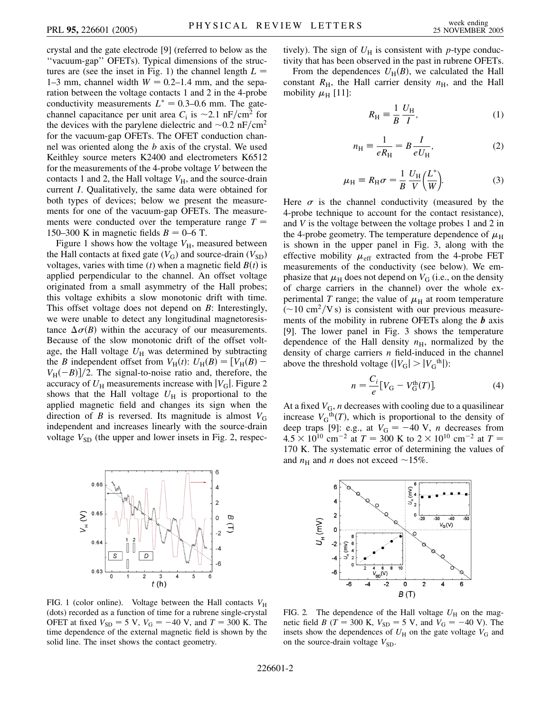crystal and the gate electrode [9] (referred to below as the ''vacuum-gap'' OFETs). Typical dimensions of the structures are (see the inset in Fig. 1) the channel length  $L =$ 1–3 mm, channel width  $W = 0.2$ –1.4 mm, and the separation between the voltage contacts 1 and 2 in the 4-probe conductivity measurements  $L^* = 0.3{\text -}0.6$  mm. The gatechannel capacitance per unit area  $C_i$  is  $\sim$ 2.1 nF/cm<sup>2</sup> for the devices with the parylene dielectric and  $\sim 0.2 \text{ nF/cm}^2$ for the vacuum-gap OFETs. The OFET conduction channel was oriented along the *b* axis of the crystal. We used Keithley source meters K2400 and electrometers K6512 for the measurements of the 4-probe voltage *V* between the contacts 1 and 2, the Hall voltage  $V_H$ , and the source-drain current *I*. Qualitatively, the same data were obtained for both types of devices; below we present the measurements for one of the vacuum-gap OFETs. The measurements were conducted over the temperature range  $T =$ 150–300 K in magnetic fields  $B = 0-6$  T.

Figure 1 shows how the voltage  $V_H$ , measured between the Hall contacts at fixed gate  $(V_G)$  and source-drain  $(V_{SD})$ voltages, varies with time  $(t)$  when a magnetic field  $B(t)$  is applied perpendicular to the channel. An offset voltage originated from a small asymmetry of the Hall probes; this voltage exhibits a slow monotonic drift with time. This offset voltage does not depend on *B*: Interestingly, we were unable to detect any longitudinal magnetoresistance  $\Delta \sigma(B)$  within the accuracy of our measurements. Because of the slow monotonic drift of the offset voltage, the Hall voltage  $U_H$  was determined by subtracting the *B* independent offset from  $V_H(t)$ :  $U_H(B) = [V_H(B) V_{\text{H}}(-B)/2$ . The signal-to-noise ratio and, therefore, the accuracy of  $U_H$  measurements increase with  $|V_G|$ . Figure 2 shows that the Hall voltage  $U_H$  is proportional to the applied magnetic field and changes its sign when the direction of *B* is reversed. Its magnitude is almost  $V_G$ independent and increases linearly with the source-drain voltage  $V_{SD}$  (the upper and lower insets in Fig. 2, respec-



FIG. 1 (color online). Voltage between the Hall contacts  $V_{\rm H}$ (dots) recorded as a function of time for a rubrene single-crystal OFET at fixed  $V_{SD} = 5 \text{ V}$ ,  $V_G = -40 \text{ V}$ , and  $T = 300 \text{ K}$ . The time dependence of the external magnetic field is shown by the solid line. The inset shows the contact geometry.

tively). The sign of  $U_H$  is consistent with *p*-type conductivity that has been observed in the past in rubrene OFETs.

From the dependences  $U_{\text{H}}(B)$ , we calculated the Hall constant  $R_{\text{H}}$ , the Hall carrier density  $n_{\text{H}}$ , and the Hall mobility  $\mu_{\rm H}$  [11]:

$$
R_{\rm H} \equiv \frac{1}{B} \frac{U_{\rm H}}{I},\tag{1}
$$

$$
n_{\rm H} \equiv \frac{1}{eR_{\rm H}} = B\frac{I}{eU_{\rm H}},\tag{2}
$$

$$
\mu_{\rm H} \equiv R_{\rm H} \sigma = \frac{1}{B} \frac{U_{\rm H}}{V} \left( \frac{L^*}{W} \right). \tag{3}
$$

Here  $\sigma$  is the channel conductivity (measured by the 4-probe technique to account for the contact resistance), and *V* is the voltage between the voltage probes 1 and 2 in the 4-probe geometry. The temperature dependence of  $\mu_H$ is shown in the upper panel in Fig. 3, along with the effective mobility  $\mu_{\text{eff}}$  extracted from the 4-probe FET measurements of the conductivity (see below). We emphasize that  $\mu_H$  does not depend on  $V_G$  (i.e., on the density of charge carriers in the channel) over the whole experimental *T* range; the value of  $\mu<sub>H</sub>$  at room temperature  $(-10 \text{ cm}^2/\text{V s})$  is consistent with our previous measurements of the mobility in rubrene OFETs along the *b* axis [9]. The lower panel in Fig. 3 shows the temperature dependence of the Hall density  $n_{\rm H}$ , normalized by the density of charge carriers *n* field-induced in the channel above the threshold voltage  $(|V_G| > |V_G^{\text{th}}|)$ :

$$
n = \frac{C_i}{e} [V_G - V_G^{\text{th}}(T)].
$$
 (4)

At a fixed  $V_G$ , *n* decreases with cooling due to a quasilinear increase  $V_G$ <sup>th</sup> $(T)$ , which is proportional to the density of deep traps [9]: e.g., at  $V_G = -40$  V, *n* decreases from  $4.5 \times 10^{10}$  cm<sup>-2</sup> at  $T = 300$  K to  $2 \times 10^{10}$  cm<sup>-2</sup> at  $T =$ 170 K. The systematic error of determining the values of and  $n_{\rm H}$  and *n* does not exceed ~15%.



FIG. 2. The dependence of the Hall voltage  $U_H$  on the magnetic field *B* (*T* = 300 K,  $V_{SD}$  = 5 V, and  $V_G$  = -40 V). The insets show the dependences of  $U_H$  on the gate voltage  $V_G$  and on the source-drain voltage  $V_{SD}$ .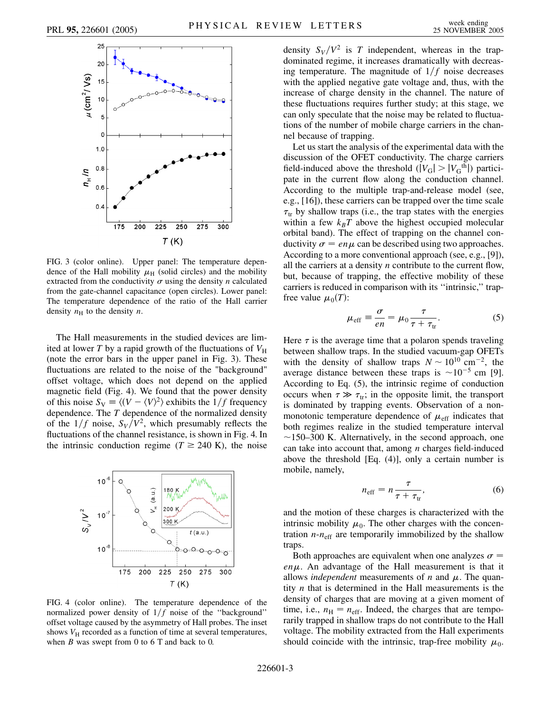

FIG. 3 (color online). Upper panel: The temperature dependence of the Hall mobility  $\mu$ <sub>H</sub> (solid circles) and the mobility extracted from the conductivity  $\sigma$  using the density *n* calculated from the gate-channel capacitance (open circles). Lower panel: The temperature dependence of the ratio of the Hall carrier density  $n_{\rm H}$  to the density *n*.

The Hall measurements in the studied devices are limited at lower *T* by a rapid growth of the fluctuations of  $V_H$ (note the error bars in the upper panel in Fig. 3). These fluctuations are related to the noise of the "background" offset voltage, which does not depend on the applied magnetic field (Fig. 4). We found that the power density of this noise  $S_V \equiv \langle (V - \langle V \rangle^2)$  exhibits the  $1/f$  frequency dependence. The *T* dependence of the normalized density of the  $1/f$  noise,  $S_V/V^2$ , which presumably reflects the fluctuations of the channel resistance, is shown in Fig. 4. In the intrinsic conduction regime ( $T \ge 240$  K), the noise



FIG. 4 (color online). The temperature dependence of the normalized power density of  $1/f$  noise of the "background" offset voltage caused by the asymmetry of Hall probes. The inset shows  $V_H$  recorded as a function of time at several temperatures, when  $B$  was swept from  $0$  to  $6$  T and back to  $0$ .

density  $S_V/V^2$  is *T* independent, whereas in the trapdominated regime, it increases dramatically with decreasing temperature. The magnitude of  $1/f$  noise decreases with the applied negative gate voltage and, thus, with the increase of charge density in the channel. The nature of these fluctuations requires further study; at this stage, we can only speculate that the noise may be related to fluctuations of the number of mobile charge carriers in the channel because of trapping.

Let us start the analysis of the experimental data with the discussion of the OFET conductivity. The charge carriers field-induced above the threshold  $(|V_G| > |V_G^{\text{th}}|)$  participate in the current flow along the conduction channel. According to the multiple trap-and-release model (see, e.g., [16]), these carriers can be trapped over the time scale  $\tau_{tr}$  by shallow traps (i.e., the trap states with the energies within a few  $k_B T$  above the highest occupied molecular orbital band). The effect of trapping on the channel conductivity  $\sigma = en\mu$  can be described using two approaches. According to a more conventional approach (see, e.g., [9]), all the carriers at a density *n* contribute to the current flow, but, because of trapping, the effective mobility of these carriers is reduced in comparison with its ''intrinsic,'' trapfree value  $\mu_0(T)$ :

$$
\mu_{\text{eff}} \equiv \frac{\sigma}{en} = \mu_0 \frac{\tau}{\tau + \tau_{\text{tr}}}.
$$
\n(5)

Here  $\tau$  is the average time that a polaron spends traveling between shallow traps. In the studied vacuum-gap OFETs with the density of shallow traps  $N \sim 10^{10}$  cm<sup>-2</sup>, the average distance between these traps is  $\sim 10^{-5}$  cm [9]. According to Eq. (5), the intrinsic regime of conduction occurs when  $\tau \gg \tau_{tr}$ ; in the opposite limit, the transport is dominated by trapping events. Observation of a nonmonotonic temperature dependence of  $\mu_{\text{eff}}$  indicates that both regimes realize in the studied temperature interval  $\sim$ 150–300 K. Alternatively, in the second approach, one can take into account that, among *n* charges field-induced above the threshold [Eq. (4)], only a certain number is mobile, namely,

$$
n_{\text{eff}} = n \frac{\tau}{\tau + \tau_{\text{tr}}},\tag{6}
$$

and the motion of these charges is characterized with the intrinsic mobility  $\mu_0$ . The other charges with the concentration  $n - n_{\text{eff}}$  are temporarily immobilized by the shallow traps.

Both approaches are equivalent when one analyzes  $\sigma$  = *en*. An advantage of the Hall measurement is that it allows *independent* measurements of  $n$  and  $\mu$ . The quantity *n* that is determined in the Hall measurements is the density of charges that are moving at a given moment of time, i.e.,  $n<sub>H</sub> = n<sub>eff</sub>$ . Indeed, the charges that are temporarily trapped in shallow traps do not contribute to the Hall voltage. The mobility extracted from the Hall experiments should coincide with the intrinsic, trap-free mobility  $\mu_0$ .